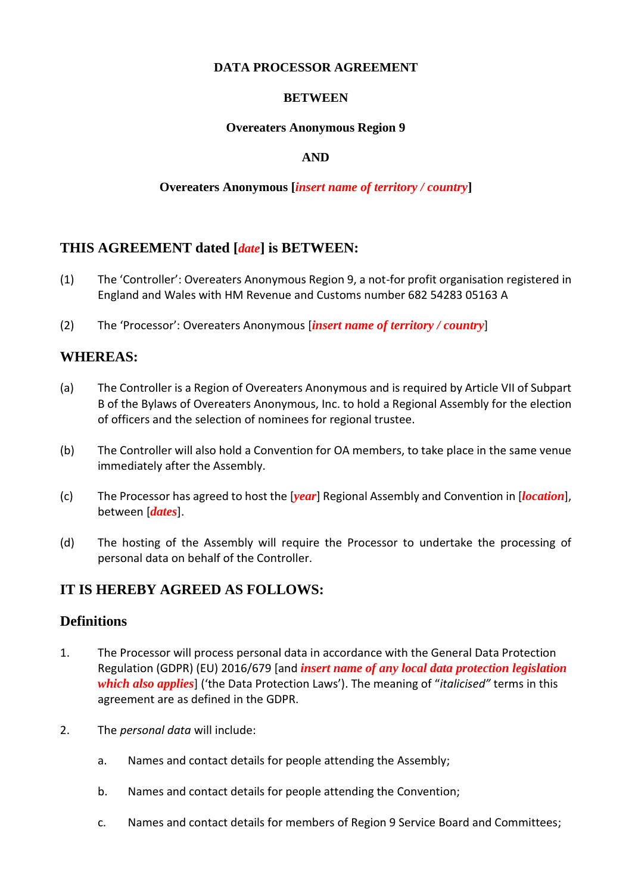### **DATA PROCESSOR AGREEMENT**

## **BETWEEN**

### **Overeaters Anonymous Region 9**

## **AND**

## **Overeaters Anonymous [***insert name of territory / country***]**

# **THIS AGREEMENT dated [***date***] is BETWEEN:**

- (1) The 'Controller': Overeaters Anonymous Region 9, a not-for profit organisation registered in England and Wales with HM Revenue and Customs number 682 54283 05163 A
- (2) The 'Processor': Overeaters Anonymous [*insert name of territory / country*]

## **WHEREAS:**

- (a) The Controller is a Region of Overeaters Anonymous and is required by Article VII of Subpart B of the Bylaws of Overeaters Anonymous, Inc. to hold a Regional Assembly for the election of officers and the selection of nominees for regional trustee.
- (b) The Controller will also hold a Convention for OA members, to take place in the same venue immediately after the Assembly.
- (c) The Processor has agreed to host the [*year*] Regional Assembly and Convention in [*location*], between [*dates*].
- (d) The hosting of the Assembly will require the Processor to undertake the processing of personal data on behalf of the Controller.

# **IT IS HEREBY AGREED AS FOLLOWS:**

# **Definitions**

- 1. The Processor will process personal data in accordance with the General Data Protection Regulation (GDPR) (EU) 2016/679 [and *insert name of any local data protection legislation which also applies*] ('the Data Protection Laws'). The meaning of "*italicised"* terms in this agreement are as defined in the GDPR.
- 2. The *personal data* will include:
	- a. Names and contact details for people attending the Assembly;
	- b. Names and contact details for people attending the Convention;
	- c. Names and contact details for members of Region 9 Service Board and Committees;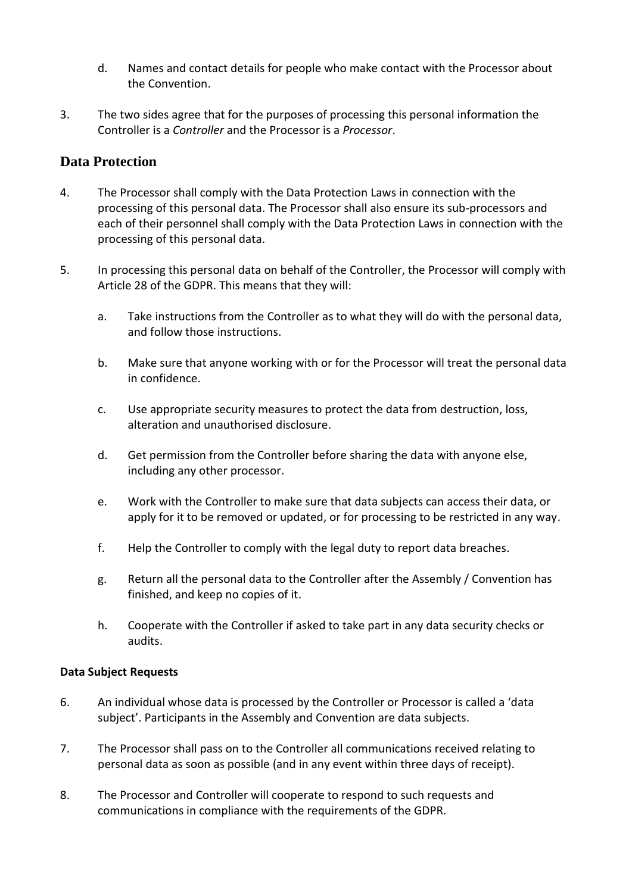- d. Names and contact details for people who make contact with the Processor about the Convention.
- 3. The two sides agree that for the purposes of processing this personal information the Controller is a *Controller* and the Processor is a *Processor*.

# **Data Protection**

- 4. The Processor shall comply with the Data Protection Laws in connection with the processing of this personal data. The Processor shall also ensure its sub-processors and each of their personnel shall comply with the Data Protection Laws in connection with the processing of this personal data.
- 5. In processing this personal data on behalf of the Controller, the Processor will comply with Article 28 of the GDPR. This means that they will:
	- a. Take instructions from the Controller as to what they will do with the personal data, and follow those instructions.
	- b. Make sure that anyone working with or for the Processor will treat the personal data in confidence.
	- c. Use appropriate security measures to protect the data from destruction, loss, alteration and unauthorised disclosure.
	- d. Get permission from the Controller before sharing the data with anyone else, including any other processor.
	- e. Work with the Controller to make sure that data subjects can access their data, or apply for it to be removed or updated, or for processing to be restricted in any way.
	- f. Help the Controller to comply with the legal duty to report data breaches.
	- g. Return all the personal data to the Controller after the Assembly / Convention has finished, and keep no copies of it.
	- h. Cooperate with the Controller if asked to take part in any data security checks or audits.

## **Data Subject Requests**

- 6. An individual whose data is processed by the Controller or Processor is called a 'data subject'. Participants in the Assembly and Convention are data subjects.
- 7. The Processor shall pass on to the Controller all communications received relating to personal data as soon as possible (and in any event within three days of receipt).
- 8. The Processor and Controller will cooperate to respond to such requests and communications in compliance with the requirements of the GDPR.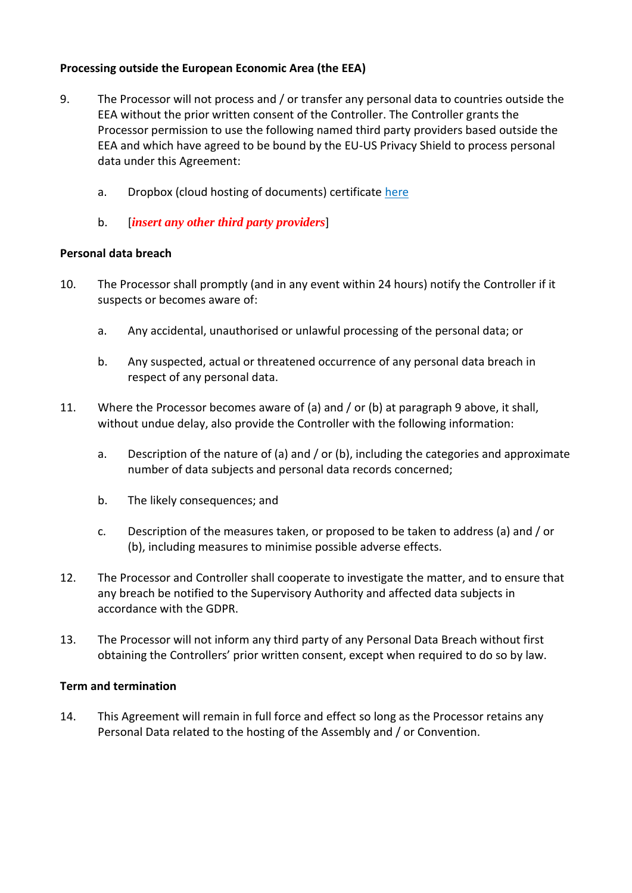## **Processing outside the European Economic Area (the EEA)**

- 9. The Processor will not process and / or transfer any personal data to countries outside the EEA without the prior written consent of the Controller. The Controller grants the Processor permission to use the following named third party providers based outside the EEA and which have agreed to be bound by the EU-US Privacy Shield to process personal data under this Agreement:
	- a. Dropbox (cloud hosting of documents) certificate [here](https://www.privacyshield.gov/participant?id=a2zt0000000GnCLAA0&status=Active)
	- b. [*insert any other third party providers*]

#### **Personal data breach**

- 10. The Processor shall promptly (and in any event within 24 hours) notify the Controller if it suspects or becomes aware of:
	- a. Any accidental, unauthorised or unlawful processing of the personal data; or
	- b. Any suspected, actual or threatened occurrence of any personal data breach in respect of any personal data.
- 11. Where the Processor becomes aware of (a) and / or (b) at paragraph 9 above, it shall, without undue delay, also provide the Controller with the following information:
	- a. Description of the nature of (a) and / or (b), including the categories and approximate number of data subjects and personal data records concerned;
	- b. The likely consequences; and
	- c. Description of the measures taken, or proposed to be taken to address (a) and / or (b), including measures to minimise possible adverse effects.
- 12. The Processor and Controller shall cooperate to investigate the matter, and to ensure that any breach be notified to the Supervisory Authority and affected data subjects in accordance with the GDPR.
- 13. The Processor will not inform any third party of any Personal Data Breach without first obtaining the Controllers' prior written consent, except when required to do so by law.

#### **Term and termination**

14. This Agreement will remain in full force and effect so long as the Processor retains any Personal Data related to the hosting of the Assembly and / or Convention.